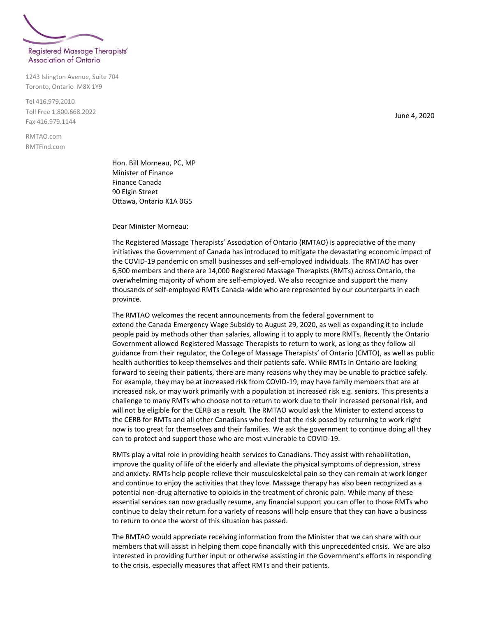

## **Association of Ontario**

1243 Islington Avenue, Suite 704 Toronto, Ontario M8X 1Y9

Tel 416.979.2010 Toll Free 1.800.668.2022 Fax 416.979.1144

RMTAO.com RMTFind.com

> Hon. Bill Morneau, PC, MP Minister of Finance Finance Canada 90 Elgin Street Ottawa, Ontario K1A 0G5

Dear Minister Morneau:

The Registered Massage Therapists' Association of Ontario (RMTAO) is appreciative of the many initiatives the Government of Canada has introduced to mitigate the devastating economic impact of the COVID-19 pandemic on small businesses and self-employed individuals. The RMTAO has over 6,500 members and there are 14,000 Registered Massage Therapists (RMTs) across Ontario, the overwhelming majority of whom are self-employed. We also recognize and support the many thousands of self-employed RMTs Canada-wide who are represented by our counterparts in each province.

The RMTAO welcomes the recent announcements from the federal government to extend the Canada Emergency Wage Subsidy to August 29, 2020, as well as expanding it to include people paid by methods other than salaries, allowing it to apply to more RMTs. Recently the Ontario Government allowed Registered Massage Therapists to return to work, as long as they follow all guidance from their regulator, the College of Massage Therapists' of Ontario (CMTO), as well as public health authorities to keep themselves and their patients safe. While RMTs in Ontario are looking forward to seeing their patients, there are many reasons why they may be unable to practice safely. For example, they may be at increased risk from COVID-19, may have family members that are at increased risk, or may work primarily with a population at increased risk e.g. seniors. This presents a challenge to many RMTs who choose not to return to work due to their increased personal risk, and will not be eligible for the CERB as a result. The RMTAO would ask the Minister to extend access to the CERB for RMTs and all other Canadians who feel that the risk posed by returning to work right now is too great for themselves and their families. We ask the government to continue doing all they can to protect and support those who are most vulnerable to COVID-19.

RMTs play a vital role in providing health services to Canadians. They assist with rehabilitation, improve the quality of life of the elderly and alleviate the physical symptoms of depression, stress and anxiety. RMTs help people relieve their musculoskeletal pain so they can remain at work longer and continue to enjoy the activities that they love. Massage therapy has also been recognized as a potential non-drug alternative to opioids in the treatment of chronic pain. While many of these essential services can now gradually resume, any financial support you can offer to those RMTs who continue to delay their return for a variety of reasons will help ensure that they can have a business to return to once the worst of this situation has passed.

The RMTAO would appreciate receiving information from the Minister that we can share with our members that will assist in helping them cope financially with this unprecedented crisis. We are also interested in providing further input or otherwise assisting in the Government's efforts in responding to the crisis, especially measures that affect RMTs and their patients.

June 4, 2020